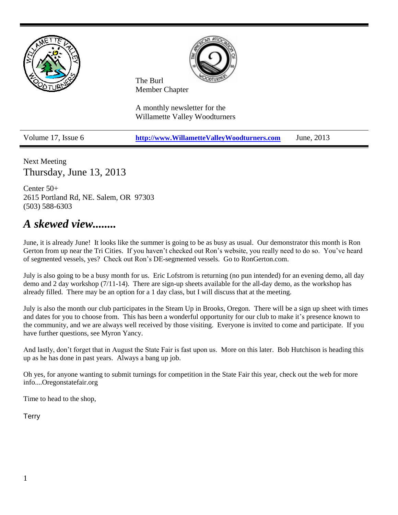

Next Meeting Thursday, June 13, 2013

Center 50+ 2615 Portland Rd, NE. Salem, OR 97303 (503) 588-6303

# *A skewed view........*

June, it is already June! It looks like the summer is going to be as busy as usual. Our demonstrator this month is Ron Gerton from up near the Tri Cities. If you haven't checked out Ron's website, you really need to do so. You've heard of segmented vessels, yes? Check out Ron's DE-segmented vessels. Go to RonGerton.com.

July is also going to be a busy month for us. Eric Lofstrom is returning (no pun intended) for an evening demo, all day demo and 2 day workshop (7/11-14). There are sign-up sheets available for the all-day demo, as the workshop has already filled. There may be an option for a 1 day class, but I will discuss that at the meeting.

July is also the month our club participates in the Steam Up in Brooks, Oregon. There will be a sign up sheet with times and dates for you to choose from. This has been a wonderful opportunity for our club to make it's presence known to the community, and we are always well received by those visiting. Everyone is invited to come and participate. If you have further questions, see Myron Yancy.

And lastly, don't forget that in August the State Fair is fast upon us. More on this later. Bob Hutchison is heading this up as he has done in past years. Always a bang up job.

Oh yes, for anyone wanting to submit turnings for competition in the State Fair this year, check out the web for more info....Oregonstatefair.org

Time to head to the shop,

**Terry**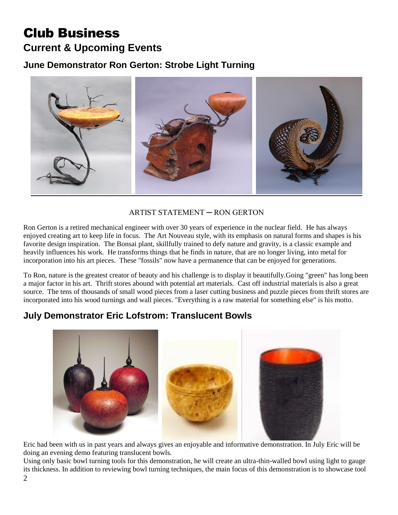# Club Business **Current & Upcoming Events**

**June Demonstrator Ron Gerton: Strobe Light Turning**



### ARTIST STATEMENT ─ RON GERTON

Ron Gerton is a retired mechanical engineer with over 30 years of experience in the nuclear field. He has always enjoyed creating art to keep life in focus. The Art Nouveau style, with its emphasis on natural forms and shapes is his favorite design inspiration. The Bonsai plant, skillfully trained to defy nature and gravity, is a classic example and heavily influences his work. He transforms things that he finds in nature, that are no longer living, into metal for incorporation into his art pieces. These "fossils" now have a permanence that can be enjoyed for generations.

To Ron, nature is the greatest creator of beauty and his challenge is to display it beautifully.Going "green" has long been a major factor in his art. Thrift stores abound with potential art materials. Cast off industrial materials is also a great source. The tens of thousands of small wood pieces from a laser cutting business and puzzle pieces from thrift stores are incorporated into his wood turnings and wall pieces. "Everything is a raw material for something else" is his motto.

## **July Demonstrator Eric Lofstrom: Translucent Bowls**



Eric had been with us in past years and always gives an enjoyable and informative demonstration. In July Eric will be doing an evening demo featuring translucent bowls.

Using only basic bowl turning tools for this demonstration, he will create an ultra-thin-walled bowl using light to gauge its thickness. In addition to reviewing bowl turning techniques, the main focus of this demonstration is to showcase tool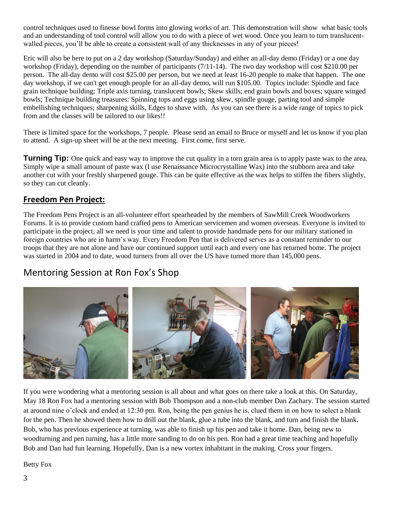control techniques used to finesse bowl forms into glowing works of art. This demonstration will show what basic tools and an understanding of tool control will allow you to do with a piece of wet wood. Once you learn to turn translucentwalled pieces, you'll be able to create a consistent wall of any thicknesses in any of your pieces!

Eric will also be here to put on a 2 day workshop (Saturday/Sunday) and either an all-day demo (Friday) or a one day workshop (Friday), depending on the number of participants (7/11-14). The two day workshop will cost \$210.00 per person. The all-day demo will cost \$25.00 per person, but we need at least 16-20 people to make that happen. The one day workshop, if we can't get enough people for an all-day demo, will run \$105.00. Topics include: Spindle and face grain technique building; Triple axis turning, translucent bowls; Skew skills; end grain bowls and boxes; square winged bowls; Technique building treasures: Spinning tops and eggs using skew, spindle gouge, parting tool and simple embellishing techniques; sharpening skills, Edges to shave with. As you can see there is a wide range of topics to pick from and the classes will be tailored to our likes!!

There is limited space for the workshops, 7 people. Please send an email to Bruce or myself and let us know if you plan to attend. A sign-up sheet will be at the next meeting. First come, first serve.

**Turning Tip:** One quick and easy way to improve the cut quality in a torn grain area is to apply paste wax to the area. Simply wipe a small amount of paste wax (I use Renaissance Microcrystalline Wax) into the stubborn area and take another cut with your freshly sharpened gouge. This can be quite effective as the wax helps to stiffen the fibers slightly, so they can cut cleanly.

### **Freedom Pen Project:**

The Freedom Pens Project is an all-volunteer effort spearheaded by the members of SawMill Creek Woodworkers Forums. It is to provide custom hand crafted pens to American servicemen and women overseas. Everyone is invited to participate in the project, all we need is your time and talent to provide handmade pens for our military stationed in foreign countries who are in harm's way. Every Freedom Pen that is delivered serves as a constant reminder to our troops that they are not alone and have our continued support until each and every one has returned home. The project was started in 2004 and to date, wood turners from all over the US have turned more than 145,000 pens.

## Mentoring Session at Ron Fox's Shop



If you were wondering what a mentoring session is all about and what goes on there take a look at this. On Saturday, May 18 Ron Fox had a mentoring session with Bob Thompson and a non-club member Dan Zachary. The session started at around nine o'clock and ended at 12:30 pm. Ron, being the pen genius he is, clued them in on how to select a blank for the pen. Then he showed them how to drill out the blank, glue a tube into the blank, and turn and finish the blank. Bob, who has previous experience at turning, was able to finish up his pen and take it home. Dan, being new to woodturning and pen turning, has a little more sanding to do on his pen. Ron had a great time teaching and hopefully Bob and Dan had fun learning. Hopefully, Dan is a new vortex inhabitant in the making. Cross your fingers.

Betty Fox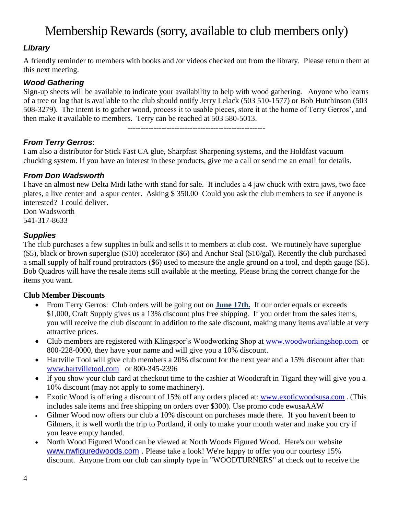# Membership Rewards (sorry, available to club members only)

### *Library*

A friendly reminder to members with books and /or videos checked out from the library. Please return them at this next meeting.

### *Wood Gathering*

Sign-up sheets will be available to indicate your availability to help with wood gathering. Anyone who learns of a tree or log that is available to the club should notify Jerry Lelack (503 510-1577) or Bob Hutchinson (503 508-3279). The intent is to gather wood, process it to usable pieces, store it at the home of Terry Gerros', and then make it available to members. Terry can be reached at 503 580-5013.

-----------------------------------------------------

*From Terry Gerros*:

I am also a distributor for Stick Fast CA glue, Sharpfast Sharpening systems, and the Holdfast vacuum chucking system. If you have an interest in these products, give me a call or send me an email for details.

### *From Don Wadsworth*

I have an almost new Delta Midi lathe with stand for sale. It includes a 4 jaw chuck with extra jaws, two face plates, a live center and a spur center. Asking \$ 350.00 Could you ask the club members to see if anyone is interested? I could deliver.

Don Wadsworth 541-317-8633

### *Supplies*

The club purchases a few supplies in bulk and sells it to members at club cost. We routinely have superglue (\$5), black or brown superglue (\$10) accelerator (\$6) and Anchor Seal (\$10/gal). Recently the club purchased a small supply of half round protractors (\$6) used to measure the angle ground on a tool, and depth gauge (\$5). Bob Quadros will have the resale items still available at the meeting. Please bring the correct change for the items you want.

### **Club Member Discounts**

- From Terry Gerros: Club orders will be going out on **June 17th.** If our order equals or exceeds \$1,000, Craft Supply gives us a 13% discount plus free shipping. If you order from the sales items, you will receive the club discount in addition to the sale discount, making many items available at very attractive prices.
- Club members are registered with Klingspor's Woodworking Shop at [www.woodworkingshop.com](http://www.woodworkingshop.com/) or 800-228-0000, they have your name and will give you a 10% discount.
- Hartville Tool will give club members a 20% discount for the next year and a 15% discount after that: [www.hartvilletool.com](http://www.hartvilletool.com/) or 800-345-2396
- If you show your club card at checkout time to the cashier at Woodcraft in Tigard they will give you a 10% discount (may not apply to some machinery).
- Exotic Wood is offering a discount of 15% off any orders placed at: [www.exoticwoodsusa.com](http://www.exoticwoodsusa.com/) . (This includes sale items and free shipping on orders over \$300). Use promo code ewusaAAW
- Gilmer Wood now offers our club a 10% discount on purchases made there. If you haven't been to Gilmers, it is well worth the trip to Portland, if only to make your mouth water and make you cry if you leave empty handed.
- North Wood Figured Wood can be viewed at North Woods Figured Wood. Here's our website [www.nwfiguredwoods.com](http://www.nwfiguredwoods.com/) . Please take a look! We're happy to offer you our courtesy 15% discount. Anyone from our club can simply type in "WOODTURNERS" at check out to receive the